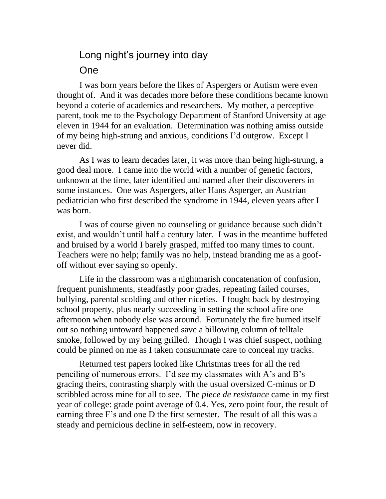## Long night's journey into day One

I was born years before the likes of Aspergers or Autism were even thought of. And it was decades more before these conditions became known beyond a coterie of academics and researchers. My mother, a perceptive parent, took me to the Psychology Department of Stanford University at age eleven in 1944 for an evaluation. Determination was nothing amiss outside of my being high-strung and anxious, conditions I'd outgrow. Except I never did.

As I was to learn decades later, it was more than being high-strung, a good deal more. I came into the world with a number of genetic factors, unknown at the time, later identified and named after their discoverers in some instances. One was Aspergers, after Hans Asperger, an Austrian pediatrician who first described the syndrome in 1944, eleven years after I was born.

I was of course given no counseling or guidance because such didn't exist, and wouldn't until half a century later. I was in the meantime buffeted and bruised by a world I barely grasped, miffed too many times to count. Teachers were no help; family was no help, instead branding me as a goofoff without ever saying so openly.

Life in the classroom was a nightmarish concatenation of confusion, frequent punishments, steadfastly poor grades, repeating failed courses, bullying, parental scolding and other niceties. I fought back by destroying school property, plus nearly succeeding in setting the school afire one afternoon when nobody else was around. Fortunately the fire burned itself out so nothing untoward happened save a billowing column of telltale smoke, followed by my being grilled. Though I was chief suspect, nothing could be pinned on me as I taken consummate care to conceal my tracks.

Returned test papers looked like Christmas trees for all the red penciling of numerous errors. I'd see my classmates with A's and B's gracing theirs, contrasting sharply with the usual oversized C-minus or D scribbled across mine for all to see. The *piece de resistance* came in my first year of college: grade point average of 0.4. Yes, zero point four, the result of earning three F's and one D the first semester. The result of all this was a steady and pernicious decline in self-esteem, now in recovery.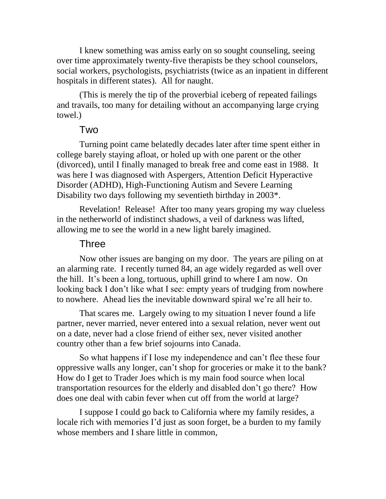I knew something was amiss early on so sought counseling, seeing over time approximately twenty-five therapists be they school counselors, social workers, psychologists, psychiatrists (twice as an inpatient in different hospitals in different states). All for naught.

(This is merely the tip of the proverbial iceberg of repeated failings and travails, too many for detailing without an accompanying large crying towel.)

## Two

Turning point came belatedly decades later after time spent either in college barely staying afloat, or holed up with one parent or the other (divorced), until I finally managed to break free and come east in 1988. It was here I was diagnosed with Aspergers, Attention Deficit Hyperactive Disorder (ADHD), High-Functioning Autism and Severe Learning Disability two days following my seventieth birthday in 2003\*.

Revelation! Release! After too many years groping my way clueless in the netherworld of indistinct shadows, a veil of darkness was lifted, allowing me to see the world in a new light barely imagined.

## Three

Now other issues are banging on my door. The years are piling on at an alarming rate. I recently turned 84, an age widely regarded as well over the hill. It's been a long, tortuous, uphill grind to where I am now. On looking back I don't like what I see: empty years of trudging from nowhere to nowhere. Ahead lies the inevitable downward spiral we're all heir to.

That scares me. Largely owing to my situation I never found a life partner, never married, never entered into a sexual relation, never went out on a date, never had a close friend of either sex, never visited another country other than a few brief sojourns into Canada.

So what happens if I lose my independence and can't flee these four oppressive walls any longer, can't shop for groceries or make it to the bank? How do I get to Trader Joes which is my main food source when local transportation resources for the elderly and disabled don't go there? How does one deal with cabin fever when cut off from the world at large?

I suppose I could go back to California where my family resides, a locale rich with memories I'd just as soon forget, be a burden to my family whose members and I share little in common.